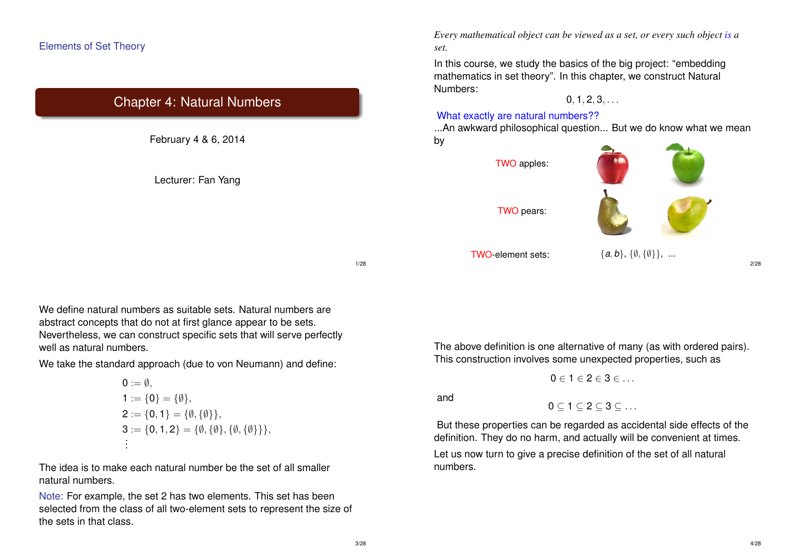## Elements of Set Theory

## Chapter 4: Natural Numbers

February 4 & 6, 2014

Lecturer: Fan Yang

*Every mathematical object can be viewed as a set, or every such object is a set.*

In this course, we study the basics of the big project: "embedding mathematics in set theory". In this chapter, we construct Natural Numbers:

 $0, 1, 2, 3, \ldots$ 

#### What exactly are natural numbers??

...An awkward philosophical question... But we do know what we mean by

TWO apples:

TWO pears:



TWO-element sets: {*a*, *b*}, {∅, {∅}}, ...

2/28

We define natural numbers as suitable sets. Natural numbers are abstract concepts that do not at first glance appear to be sets. Nevertheless, we can construct specific sets that will serve perfectly well as natural numbers.

We take the standard approach (due to von Neumann) and define:

$$
0 := \emptyset,
$$
  
\n
$$
1 := \{0\} = \{\emptyset\},
$$
  
\n
$$
2 := \{0, 1\} = \{\emptyset, \{\emptyset\}\},
$$
  
\n
$$
3 := \{0, 1, 2\} = \{\emptyset, \{\emptyset\}, \{\emptyset, \{\emptyset\}\}\},
$$
  
\n
$$
\vdots
$$

The idea is to make each natural number be the set of all smaller natural numbers.

Note: For example, the set 2 has two elements. This set has been selected from the class of all two-element sets to represent the size of the sets in that class.

The above definition is one alternative of many (as with ordered pairs). This construction involves some unexpected properties, such as

$$
0\in 1\in 2\in 3\in \ldots
$$

and

 $0 \subset 1 \subset 2 \subset 3 \subset \ldots$ 

But these properties can be regarded as accidental side effects of the definition. They do no harm, and actually will be convenient at times.

Let us now turn to give a precise definition of the set of all natural numbers.

1/28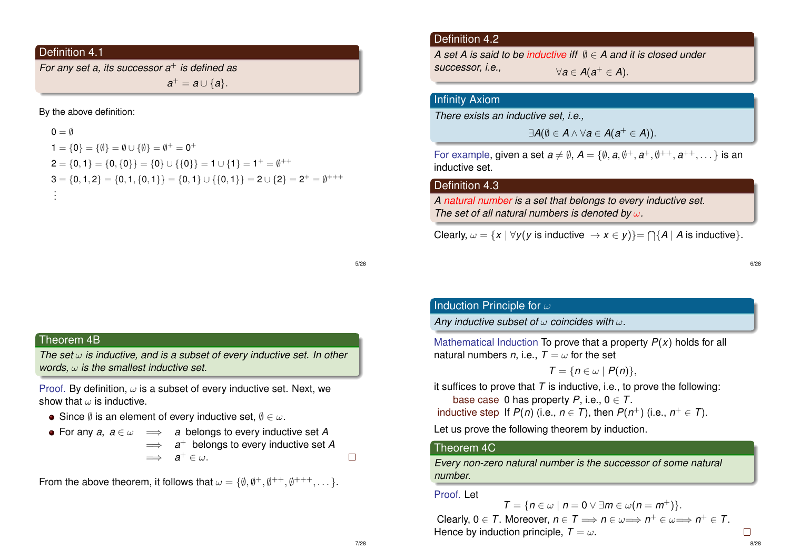## Definition 4.1

*For any set a, its successor a*<sup>+</sup> *is defined as*  $a^+ = a \cup \{a\}.$ 

By the above definition:

 $0 = \emptyset$ 1 = {0} = { $\emptyset$ } =  $\emptyset \cup {\emptyset}$ } =  $\emptyset^+ = 0^+$  ${\sf 2}=\{{\sf 0},{\sf 1}\}=\{{\sf 0},\{{\sf 0}\}\}=\{{\sf 0}\}\cup\{\{{\sf 0}\}\}= {\sf 1}\cup\{{\sf 1}\}={\sf 1}^+=\emptyset^{++}$  $\mathsf{3}=\{\mathsf{0},\mathsf{1},\mathsf{2}\}=\{\mathsf{0},\mathsf{1},\{\mathsf{0},\mathsf{1}\}\}=\{\mathsf{0},\mathsf{1}\}\cup\{\{\mathsf{0},\mathsf{1}\}\}=2\cup\{2\}=2^+=\emptyset^{+++}$ . . .

## Definition 4.2

*A set A is said to be inductive iff* ∅ ∈ *A and it is closed under*  $successor, i.e.,$  $\forall a \in A(a^+ \in A).$ 

## Infinity Axiom

*There exists an inductive set, i.e.,*

$$
\exists A(\emptyset \in A \wedge \forall a \in A(a^+ \in A)).
$$

For example, given a set  $a \neq \emptyset$ ,  $A = \{\emptyset, a, \emptyset^+, a^+, \emptyset^{++}, a^{++}, \dots\}$  is an inductive set.

## Definition 4.3

*A natural number is a set that belongs to every inductive set. The set of all natural numbers is denoted by* ω*.*

Clearly,  $\omega = \{x \mid \forall y (y \text{ is inductive } \rightarrow x \in y)\} = \bigcap \{A \mid A \text{ is inductive }\}.$ 

5/28

## Theorem 4B

*The set* ω *is inductive, and is a subset of every inductive set. In other words,* ω *is the smallest inductive set.*

Proof. By definition,  $\omega$  is a subset of every inductive set. Next, we show that  $\omega$  is inductive.

 $\bullet$  Since  $\emptyset$  is an element of every inductive set,  $\emptyset \in \omega$ .

• For any 
$$
a, a \in \omega \implies a
$$
 belongs to every inductive set  $A \implies a^+$  belongs to every inductive set  $A \implies a^+ \in \omega$ .

From the above theorem, it follows that  $\omega = \{\emptyset, \emptyset^+, \emptyset^{++}, \emptyset^{+++}, \dots\}.$ 

# Induction Principle for  $\omega$

*Any inductive subset of* ω *coincides with* ω*.*

Mathematical Induction To prove that a property *P*(*x*) holds for all natural numbers *n*, i.e.,  $T = \omega$  for the set

$$
T=\{n\in\omega\mid P(n)\},\
$$

it suffices to prove that  $T$  is inductive, i.e., to prove the following: base case 0 has property  $P$ , i.e.,  $0 \in T$ . inductive step If  $P(n)$  (i.e.,  $n \in T$ ), then  $P(n^+)$  (i.e.,  $n^+ \in T$ ).

Let us prove the following theorem by induction.

#### Theorem 4C

*Every non-zero natural number is the successor of some natural number.*

Proof. Let

$$
T = \{n \in \omega \mid n = 0 \vee \exists m \in \omega (n = m^+)\}.
$$

Clearly,  $0 \in T$ . Moreover,  $n \in T \implies n \in \omega \Longrightarrow n^+ \in \omega \Longrightarrow n^+ \in T$ . Hence by induction principle,  $T = \omega$ .

 $\Box$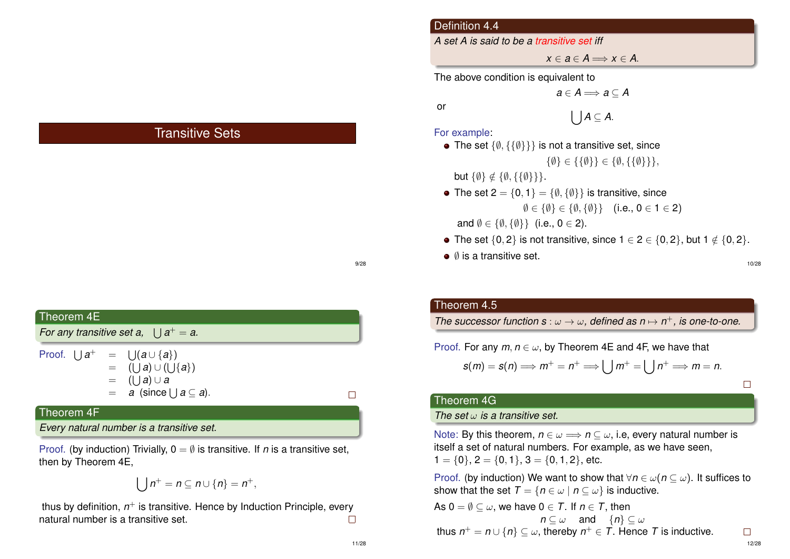## Transitive Sets

| Theorem 4E                                      |                                                                                                                                          |  |
|-------------------------------------------------|------------------------------------------------------------------------------------------------------------------------------------------|--|
| For any transitive set a, $  \cdot   a^+ = a$ . |                                                                                                                                          |  |
|                                                 | Proof. $\bigcup a^+ = \bigcup (a \cup \{a\})$<br>$=$ (Ua) $\cup$ (U{a})<br>$=$ (1   a) $\cup$ a<br>$= a$ (since $  \,  a \subseteq a$ ). |  |
| Theorem 4F                                      |                                                                                                                                          |  |
|                                                 | Every natural number is a transitive set.                                                                                                |  |

Proof. (by induction) Trivially,  $0 = \emptyset$  is transitive. If *n* is a transitive set, then by Theorem 4E,

$$
\bigcup n^+ = n \subseteq n \cup \{n\} = n^+,
$$

thus by definition, *n* <sup>+</sup> is transitive. Hence by Induction Principle, every natural number is a transitive set.  $\Box$ 

## Definition 4.4

*A set A is said to be a transitive set iff*

 $x \in \mathbf{a} \in \mathbf{A} \Longrightarrow x \in \mathbf{A}$ .

The above condition is equivalent to

 $a \in A \Longrightarrow a \subseteq A$ 

or

$$
\bigcup A\subseteq A.
$$

For example:

- The set  $\{\emptyset, \{\{\emptyset\}\}\}\$ is not a transitive set, since  $\{\emptyset\} \in \{\{\emptyset\}\}\in \{\emptyset, \{\{\emptyset\}\}\},\$ but  $\{\emptyset\} \notin \{\emptyset, \{\{\emptyset\}\}\}.$ • The set  $2 = \{0, 1\} = \{\emptyset, \{\emptyset\}\}\$ is transitive, since  $\emptyset \in {\emptyset} \in {\emptyset}, {\emptyset} \}$  (i.e.,  $0 \in 1 \in 2$ ) and  $\emptyset \in {\emptyset, \{\emptyset\}}$  (i.e.,  $0 \in 2$ ).
- The set  $\{0, 2\}$  is not transitive, since  $1 \in 2 \in \{0, 2\}$ , but  $1 \notin \{0, 2\}$ .
- $\bullet$   $\emptyset$  is a transitive set.

#### Theorem 4.5

*The successor function s* :  $\omega \rightarrow \omega$ , defined as  $n \mapsto n^+$ , is one-to-one.

Proof. For any  $m, n \in \omega$ , by Theorem 4E and 4F, we have that

$$
s(m) = s(n) \Longrightarrow m^+ = n^+ \Longrightarrow \bigcup m^+ = \bigcup n^+ \Longrightarrow m = n.
$$

 $\Box$ 

#### Theorem 4G

#### *The set* ω *is a transitive set.*

Note: By this theorem,  $n \in \omega \implies n \subseteq \omega$ , i.e. every natural number is itself a set of natural numbers. For example, as we have seen,  $1 = \{0\}, 2 = \{0, 1\}, 3 = \{0, 1, 2\},$  etc.

Proof. (by induction) We want to show that  $\forall n \in \omega$  (*n*  $\subseteq \omega$ ). It suffices to show that the set  $T = \{n \in \omega \mid n \subseteq \omega\}$  is inductive.

As 
$$
0 = \emptyset \subseteq \omega
$$
, we have  $0 \in T$ . If  $n \in T$ , then  
\n $n \subseteq \omega$  and  $\{n\} \subseteq \omega$   
\nthus  $n^+ = n \cup \{n\} \subseteq \omega$ , thereby  $n^+ \in T$ . Hence T is inductive.

9/28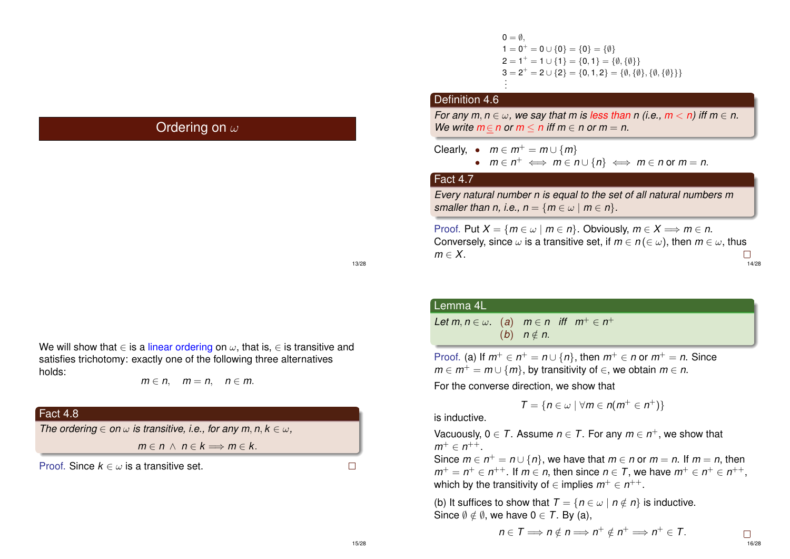## Ordering on  $\omega$

 $0 = \emptyset$  $1 = 0^+ = 0 \cup \{0\} = \{0\} = \{\emptyset\}$  ${\sf 2} = {\sf 1}^+ = {\sf 1} \cup \{{\sf 1}\} = \{{\sf 0},{\sf 1}\} = \{\emptyset,\{\emptyset\}\}$  $3 = 2^+ = 2 \cup \{2\} = \{0, 1, 2\} = \{\emptyset, \{\emptyset\}, \{\emptyset, \{\emptyset\}\}\}\$ . .

## Definition 4.6

*For any m, n*  $\in \omega$ *, we say that m is less than n (i.e., m < n) iff m*  $\in$  *n. We write*  $m \in n$  *or*  $m \le n$  *iff*  $m \in n$  *or*  $m = n$ .

Clearly,  $\bullet$   $m \in m^+ = m \cup \{m\}$ 

• *m* ∈ *n* <sup>+</sup> ⇐⇒ *m* ∈ *n* ∪ {*n*} ⇐⇒ *m* ∈ *n* or *m* = *n*.

## Fact 4.7

*Every natural number n is equal to the set of all natural numbers m smaller than n, i.e., n* = { $m \in \omega \mid m \in n$  }.

Proof. Put  $X = \{m \in \omega \mid m \in n\}$ . Obviously,  $m \in X \Longrightarrow m \in n$ . Conversely, since  $\omega$  is a transitive set, if  $m \in n (\in \omega)$ , then  $m \in \omega$ , thus  $m \in X$ .  $\Box$ 14/28

13/28

We will show that  $\in$  is a linear ordering on  $\omega$ , that is,  $\in$  is transitive and satisfies trichotomy: exactly one of the following three alternatives holds:

$$
m \in n, \quad m = n, \quad n \in m.
$$

## Fact 4.8

*The ordering*  $\in$  *on*  $\omega$  *is transitive, i.e., for any m, n, k*  $\in \omega$ *,* 

 $m \in n \land n \in k \Longrightarrow m \in k$ .

Proof. Since  $k \in \omega$  is a transitive set.

 $\Box$ 

#### Lemma 4L

*Let*  $m, n \in \omega$ . (a)  $m \in n$  iff  $m^+ \in n^+$ (*b*)  $n \notin n$ .

Proof. (a) If  $m^+ \in n^+ = n \cup \{n\}$ , then  $m^+ \in n$  or  $m^+ = n$ . Since  $m \in m^+ = m \cup \{m\}$ , by transitivity of  $\in$ , we obtain  $m \in n$ .

For the converse direction, we show that

$$
T = \{ n \in \omega \mid \forall m \in n(m^+ \in n^+) \}
$$

is inductive.

Vacuously,  $0 \in T$ . Assume  $n \in T$ . For any  $m \in n^+$ , we show that  $m^+ \in n^{++}$ .

Since  $m \in n^+ = n \cup \{n\}$ , we have that  $m \in n$  or  $m = n$ . If  $m = n$ , then  $m^+=n^+\in n^{++}$ . If  $m\in n$ , then since  $n\in \mathcal{T}$ , we have  $m^+\in n^+\in n^{++}$ , which by the transitivity of  $\in$  implies  $m^+ \in n^{++}$ .

(b) It suffices to show that  $T = \{n \in \omega \mid n \notin n\}$  is inductive. Since  $\emptyset \notin \emptyset$ , we have  $0 \in \mathcal{T}$ . By (a),

$$
n\in\mathcal{T}\Longrightarrow n\notin n\Longrightarrow n^+\notin n^+\Longrightarrow n^+\in\mathcal{T}.
$$

16/28

 $\Box$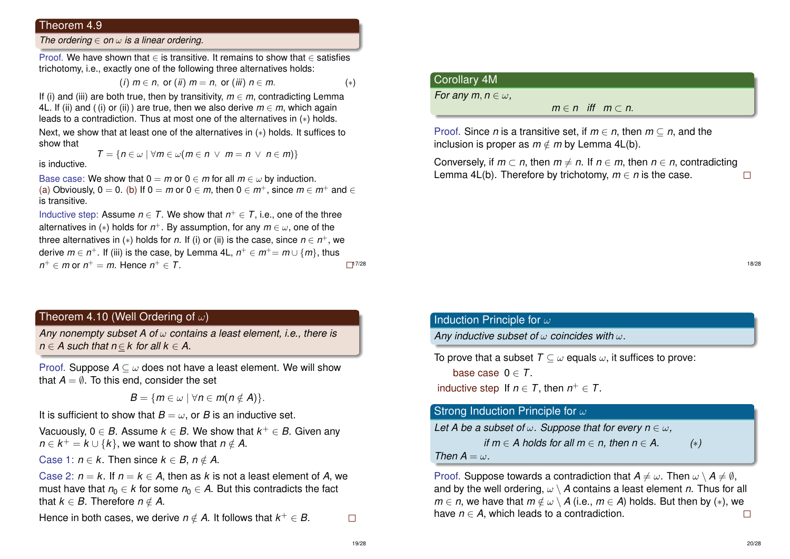#### Theorem 4.9

*The ordering* ∈ *on* ω *is a linear ordering.*

Proof. We have shown that ∈ is transitive. It remains to show that ∈ satisfies trichotomy, i.e., exactly one of the following three alternatives holds:

$$
(i) \; m \in n, \; \text{or} \; (ii) \; m = n, \; \text{or} \; (iii) \; n \in m. \tag{*}
$$

If (i) and (iii) are both true, then by transitivity,  $m \in m$ , contradicting Lemma 4L. If (ii) and ((i) or (ii)) are true, then we also derive  $m \in m$ , which again leads to a contradiction. Thus at most one of the alternatives in (∗) holds.

Next, we show that at least one of the alternatives in (∗) holds. It suffices to show that

$$
\mathcal{T} = \{n \in \omega \mid \forall m \in \omega (m \in n \ \lor \ m = n \ \lor \ n \in m)\}
$$

is inductive.

Base case: We show that  $0 = m$  or  $0 \in m$  for all  $m \in \omega$  by induction. (a) Obviously,  $0 = 0$ . (b) If  $0 = m$  or  $0 \in m$ , then  $0 \in m^+$ , since  $m \in m^+$  and  $\in$ is transitive.

Inductive step: Assume  $n \in T$ . We show that  $n^+ \in T$ , i.e., one of the three alternatives in (∗) holds for *n* <sup>+</sup>. By assumption, for any *m* ∈ ω, one of the three alternatives in (∗) holds for *n*. If (i) or (ii) is the case, since *n* ∈ *n* <sup>+</sup>, we derive  $m \in n^+$ . If (iii) is the case, by Lemma 4L,  $n^+ \in m^+=m \cup \{m\}$ , thus  $n^+ \in m$  or  $n^+ = m$ . Hence  $n^+ \in T$ .  $17/28$ 

## Theorem 4.10 (Well Ordering of  $\omega$ )

*Any nonempty subset A of* ω *contains a least element, i.e., there is n* ∈ *A* such that *n* ∈ *k* for all  $k \in A$ .

Proof. Suppose  $A \subseteq \omega$  does not have a least element. We will show that  $A = \emptyset$ . To this end, consider the set

 $B = \{m \in \omega \mid \forall n \in m (n \notin A)\}.$ 

It is sufficient to show that  $B = \omega$ , or *B* is an inductive set.

Vacuously, 0  $\in$  *B*. Assume  $k \in B$ . We show that  $k^+ \in B$ . Given any  $n \in k^+ = k \cup \{k\}$ , we want to show that  $n \notin A$ .

Case 1:  $n \in k$ . Then since  $k \in B$ ,  $n \notin A$ .

Case 2:  $n = k$ . If  $n = k \in A$ , then as k is not a least element of A, we must have that  $n_0 \in k$  for some  $n_0 \in A$ . But this contradicts the fact that  $k \in B$ . Therefore  $n \notin A$ .

Hence in both cases, we derive  $n \notin A$ . It follows that  $k^+ \in B$ .

## Corollary 4M

*For any m, n*  $\in \omega$ ,

 $m \in n$  *iff*  $m \subset n$ .

Proof. Since *n* is a transitive set, if  $m \in n$ , then  $m \subset n$ , and the inclusion is proper as  $m \notin m$  by Lemma 4L(b).

Conversely, if  $m \subset n$ , then  $m \neq n$ . If  $n \in m$ , then  $n \in n$ , contradicting Lemma 4L(b). Therefore by trichotomy,  $m \in n$  is the case.  $\Box$ 

#### 18/28

## Induction Principle for  $\omega$

*Any inductive subset of* ω *coincides with* ω*.*

```
To prove that a subset T \subset \omega equals \omega, it suffices to prove:
```
base case  $0 \in T$ .

inductive step If  $n \in T$ , then  $n^+ \in T$ .

## Strong Induction Principle for  $\omega$

```
Let A be a subset of \omega. Suppose that for every n \in \omega,
```
*if*  $m \in A$  holds for all  $m \in n$ , then  $n \in A$ , (\*)

*Then*  $A = \omega$ 

Proof. Suppose towards a contradiction that  $A \neq \omega$ . Then  $\omega \setminus A \neq \emptyset$ , and by the well ordering,  $\omega \setminus A$  contains a least element *n*. Thus for all *m*  $\in$  *n*, we have that *m*  $\notin \omega \setminus A$  (i.e., *m*  $\in$  *A*) holds. But then by (\*), we have  $n \in A$ , which leads to a contradiction.  $\Box$ 

 $\Box$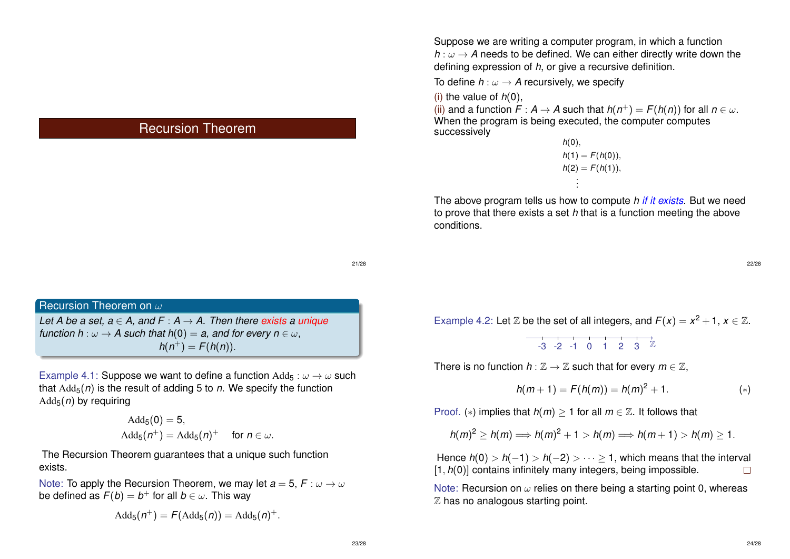## Recursion Theorem

Recursion Theorem on  $\omega$ *Let A be a set,*  $a \in A$ *, and F : A*  $\rightarrow$  *A. Then there exists a unique function h* :  $\omega \rightarrow A$  *such that h*(0) = *a, and for every n*  $\in \omega$ .  $h(n^{+}) = F(h(n)).$ 

Example 4.1: Suppose we want to define a function  $\text{Add}_5 : \omega \to \omega$  such that  $\text{Add}_5(n)$  is the result of adding 5 to *n*. We specify the function Add5(*n*) by requiring

$$
\begin{aligned} \text{Add}_5(0) &= 5, \\ \text{Add}_5(n^+) &= \text{Add}_5(n)^+ \quad \text{for } n \in \omega. \end{aligned}
$$

The Recursion Theorem guarantees that a unique such function exists.

Note: To apply the Recursion Theorem, we may let  $a = 5$ ,  $F : \omega \to \omega$ be defined as  $\bar{F}(b)=b^+$  for all  $b\in\omega.$  This way

$$
Add_5(n^+) = F(Add_5(n)) = Add_5(n)^+.
$$

Suppose we are writing a computer program, in which a function  $h: \omega \rightarrow A$  needs to be defined. We can either directly write down the defining expression of *h*, or give a recursive definition.

To define  $h : \omega \to A$  recursively, we specify

(i) the value of  $h(0)$ .

(ii) and a function  $F : A \to A$  such that  $h(n^+) = F(h(n))$  for all  $n \in \omega$ . When the program is being executed, the computer computes successively

$$
h(0),\n h(1) = F(h(0)),\n h(2) = F(h(1)),\n \vdots
$$

The above program tells us how to compute *h if it exists*. But we need to prove that there exists a set *h* that is a function meeting the above conditions.

22/28

Example 4.2: Let  $\mathbb Z$  be the set of all integers, and  $F(x) = x^2 + 1$ ,  $x \in \mathbb Z$ .

$$
-3 \quad -2 \quad -1 \quad 0 \quad 1 \quad 2 \quad 3 \quad \mathbb{Z}
$$

There is no function  $h : \mathbb{Z} \to \mathbb{Z}$  such that for every  $m \in \mathbb{Z}$ ,

$$
h(m+1) = F(h(m)) = h(m)^{2} + 1.
$$
 (\*)

Proof. (\*) implies that  $h(m) > 1$  for all  $m \in \mathbb{Z}$ . It follows that

$$
h(m)^2 \ge h(m) \Longrightarrow h(m)^2 + 1 > h(m) \Longrightarrow h(m+1) > h(m) \ge 1.
$$

Hence  $h(0) > h(-1) > h(-2) > \cdots \ge 1$ , which means that the interval [1, *h*(0)] contains infinitely many integers, being impossible.  $\Box$ 

Note: Recursion on  $\omega$  relies on there being a starting point 0, whereas  $Z$  has no analogous starting point.

21/28